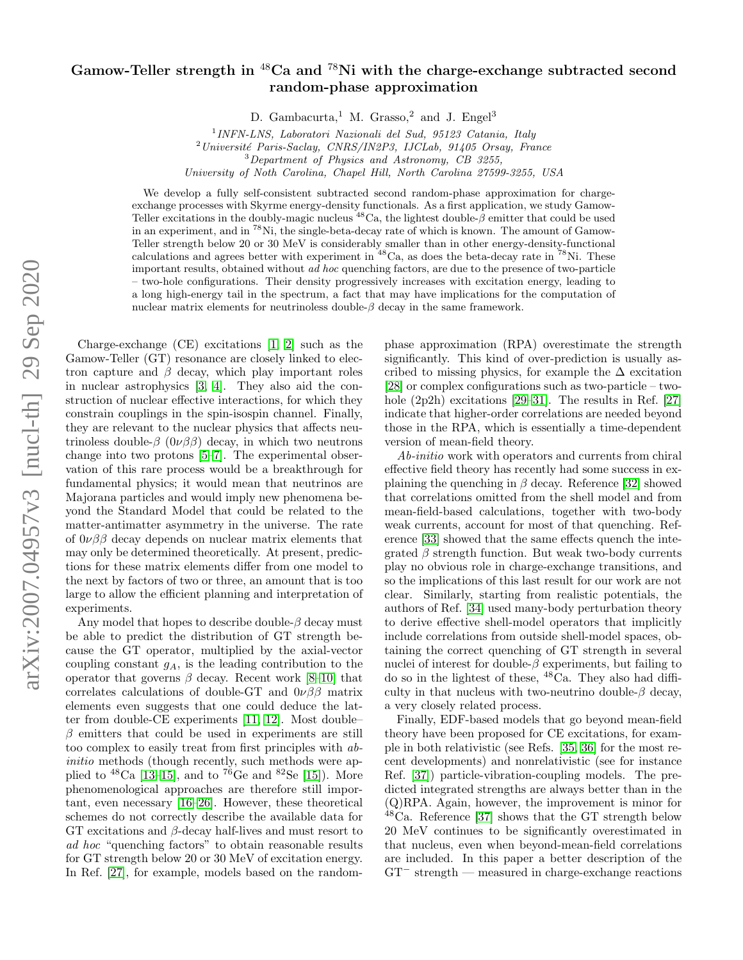## Gamow-Teller strength in  ${}^{48}$ Ca and  ${}^{78}$ Ni with the charge-exchange subtracted second random-phase approximation

D. Gambacurta,<sup>1</sup> M. Grasso,<sup>2</sup> and J. Engel<sup>3</sup>

University of Noth Carolina, Chapel Hill, North Carolina 27599-3255, USA

We develop a fully self-consistent subtracted second random-phase approximation for chargeexchange processes with Skyrme energy-density functionals. As a first application, we study Gamow-Teller excitations in the doubly-magic nucleus  $^{48}$ Ca, the lightest double- $\beta$  emitter that could be used in an experiment, and in <sup>78</sup>Ni, the single-beta-decay rate of which is known. The amount of Gamow-Teller strength below 20 or 30 MeV is considerably smaller than in other energy-density-functional calculations and agrees better with experiment in  $48Ca$ , as does the beta-decay rate in  $78Ni$ . These important results, obtained without ad hoc quenching factors, are due to the presence of two-particle – two-hole configurations. Their density progressively increases with excitation energy, leading to a long high-energy tail in the spectrum, a fact that may have implications for the computation of nuclear matrix elements for neutrinoless double- $\beta$  decay in the same framework.

Charge-exchange (CE) excitations [\[1,](#page-4-0) [2\]](#page-4-1) such as the Gamow-Teller (GT) resonance are closely linked to electron capture and  $\beta$  decay, which play important roles in nuclear astrophysics [\[3,](#page-4-2) [4\]](#page-4-3). They also aid the construction of nuclear effective interactions, for which they constrain couplings in the spin-isospin channel. Finally, they are relevant to the nuclear physics that affects neutrinoless double- $\beta$  (0ν $\beta\beta$ ) decay, in which two neutrons change into two protons [\[5](#page-4-4)[–7\]](#page-4-5). The experimental observation of this rare process would be a breakthrough for fundamental physics; it would mean that neutrinos are Majorana particles and would imply new phenomena beyond the Standard Model that could be related to the matter-antimatter asymmetry in the universe. The rate of  $0\nu\beta\beta$  decay depends on nuclear matrix elements that may only be determined theoretically. At present, predictions for these matrix elements differ from one model to the next by factors of two or three, an amount that is too large to allow the efficient planning and interpretation of experiments.

Any model that hopes to describe double- $\beta$  decay must be able to predict the distribution of GT strength because the GT operator, multiplied by the axial-vector coupling constant  $g_A$ , is the leading contribution to the operator that governs  $\beta$  decay. Recent work [\[8](#page-4-6)[–10\]](#page-4-7) that correlates calculations of double-GT and  $0\nu\beta\beta$  matrix elements even suggests that one could deduce the latter from double-CE experiments [\[11,](#page-4-8) [12\]](#page-4-9). Most double–  $\beta$  emitters that could be used in experiments are still too complex to easily treat from first principles with abinitio methods (though recently, such methods were applied to  $^{48}Ca$  [\[13–](#page-4-10)[15\]](#page-4-11), and to  $^{76}Ge$  and  $^{82}Se$  [\[15\]](#page-4-11)). More phenomenological approaches are therefore still important, even necessary [\[16](#page-4-12)[–26\]](#page-4-13). However, these theoretical schemes do not correctly describe the available data for GT excitations and  $\beta$ -decay half-lives and must resort to ad hoc "quenching factors" to obtain reasonable results for GT strength below 20 or 30 MeV of excitation energy. In Ref. [\[27\]](#page-4-14), for example, models based on the random-

phase approximation (RPA) overestimate the strength significantly. This kind of over-prediction is usually ascribed to missing physics, for example the  $\Delta$  excitation [\[28\]](#page-4-15) or complex configurations such as two-particle – two-hole (2p2h) excitations [\[29](#page-4-16)[–31\]](#page-4-17). The results in Ref. [\[27\]](#page-4-14) indicate that higher-order correlations are needed beyond those in the RPA, which is essentially a time-dependent version of mean-field theory.

Ab-initio work with operators and currents from chiral effective field theory has recently had some success in explaining the quenching in  $\beta$  decay. Reference [\[32\]](#page-4-18) showed that correlations omitted from the shell model and from mean-field-based calculations, together with two-body weak currents, account for most of that quenching. Reference [\[33\]](#page-4-19) showed that the same effects quench the integrated  $\beta$  strength function. But weak two-body currents play no obvious role in charge-exchange transitions, and so the implications of this last result for our work are not clear. Similarly, starting from realistic potentials, the authors of Ref. [\[34\]](#page-4-20) used many-body perturbation theory to derive effective shell-model operators that implicitly include correlations from outside shell-model spaces, obtaining the correct quenching of GT strength in several nuclei of interest for double- $\beta$  experiments, but failing to do so in the lightest of these, <sup>48</sup>Ca. They also had difficulty in that nucleus with two-neutrino double- $\beta$  decay, a very closely related process.

Finally, EDF-based models that go beyond mean-field theory have been proposed for CE excitations, for example in both relativistic (see Refs. [\[35,](#page-4-21) [36\]](#page-4-22) for the most recent developments) and nonrelativistic (see for instance Ref. [\[37\]](#page-4-23)) particle-vibration-coupling models. The predicted integrated strengths are always better than in the (Q)RPA. Again, however, the improvement is minor for  $48\text{Ca}$ . Reference [\[37\]](#page-4-23) shows that the GT strength below 20 MeV continues to be significantly overestimated in that nucleus, even when beyond-mean-field correlations are included. In this paper a better description of the GT<sup>−</sup> strength — measured in charge-exchange reactions

<sup>1</sup> INFN-LNS, Laboratori Nazionali del Sud, 95123 Catania, Italy  $^{2}$ Université Paris-Saclay, CNRS/IN2P3, IJCLab, 91405 Orsay, France <sup>3</sup>Department of Physics and Astronomy, CB 3255,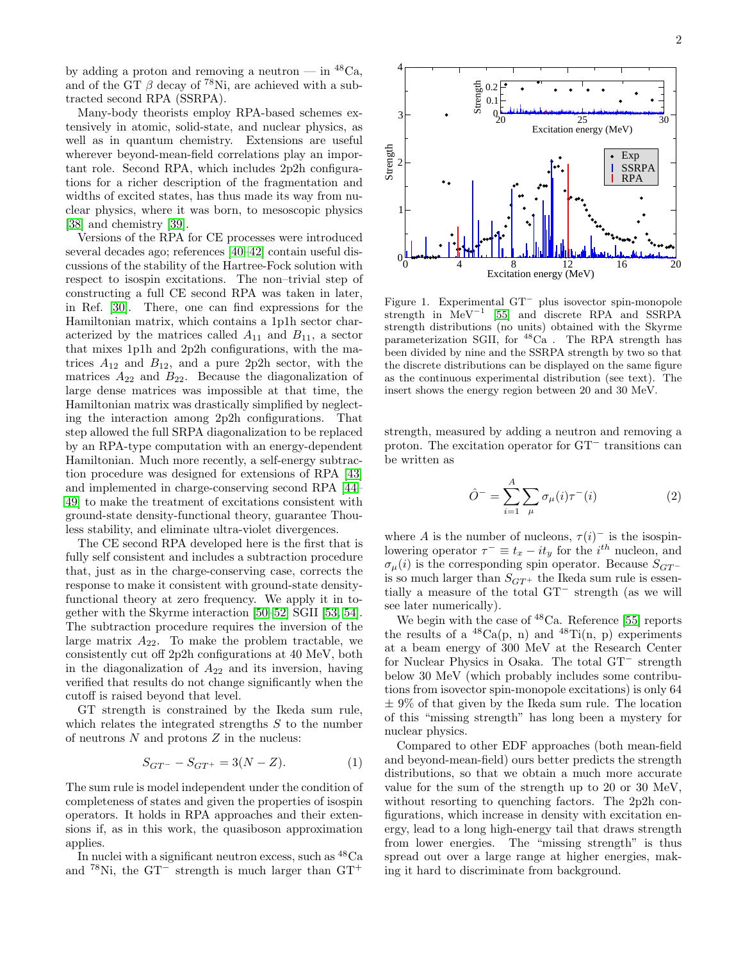by adding a proton and removing a neutron — in  ${}^{48}Ca$ , and of the GT  $\beta$  decay of <sup>78</sup>Ni, are achieved with a subtracted second RPA (SSRPA).

Many-body theorists employ RPA-based schemes extensively in atomic, solid-state, and nuclear physics, as well as in quantum chemistry. Extensions are useful wherever beyond-mean-field correlations play an important role. Second RPA, which includes 2p2h configurations for a richer description of the fragmentation and widths of excited states, has thus made its way from nuclear physics, where it was born, to mesoscopic physics [\[38\]](#page-4-24) and chemistry [\[39\]](#page-4-25).

Versions of the RPA for CE processes were introduced several decades ago; references [\[40–](#page-4-26)[42\]](#page-4-27) contain useful discussions of the stability of the Hartree-Fock solution with respect to isospin excitations. The non–trivial step of constructing a full CE second RPA was taken in later, in Ref. [\[30\]](#page-4-28). There, one can find expressions for the Hamiltonian matrix, which contains a 1p1h sector characterized by the matrices called  $A_{11}$  and  $B_{11}$ , a sector that mixes 1p1h and 2p2h configurations, with the matrices  $A_{12}$  and  $B_{12}$ , and a pure 2p2h sector, with the matrices  $A_{22}$  and  $B_{22}$ . Because the diagonalization of large dense matrices was impossible at that time, the Hamiltonian matrix was drastically simplified by neglecting the interaction among 2p2h configurations. That step allowed the full SRPA diagonalization to be replaced by an RPA-type computation with an energy-dependent Hamiltonian. Much more recently, a self-energy subtraction procedure was designed for extensions of RPA [\[43\]](#page-4-29) and implemented in charge-conserving second RPA [\[44–](#page-4-30) [49\]](#page-5-0) to make the treatment of excitations consistent with ground-state density-functional theory, guarantee Thouless stability, and eliminate ultra-violet divergences.

The CE second RPA developed here is the first that is fully self consistent and includes a subtraction procedure that, just as in the charge-conserving case, corrects the response to make it consistent with ground-state densityfunctional theory at zero frequency. We apply it in together with the Skyrme interaction [\[50–](#page-5-1)[52\]](#page-5-2) SGII [\[53,](#page-5-3) [54\]](#page-5-4). The subtraction procedure requires the inversion of the large matrix  $A_{22}$ . To make the problem tractable, we consistently cut off 2p2h configurations at 40 MeV, both in the diagonalization of  $A_{22}$  and its inversion, having verified that results do not change significantly when the cutoff is raised beyond that level.

GT strength is constrained by the Ikeda sum rule, which relates the integrated strengths  $S$  to the number of neutrons  $N$  and protons  $Z$  in the nucleus:

$$
S_{GT^-} - S_{GT^+} = 3(N - Z). \tag{1}
$$

The sum rule is model independent under the condition of completeness of states and given the properties of isospin operators. It holds in RPA approaches and their extensions if, as in this work, the quasiboson approximation applies.

In nuclei with a significant neutron excess, such as  ${}^{48}Ca$ and <sup>78</sup>Ni, the GT<sup>−</sup> strength is much larger than GT<sup>+</sup>

parameterization SGII, for  ${}^{48}Ca$ . The RPA strength has been divided by nine and the SSRPA strength by two so that the discrete distributions can be displayed on the same figure as the continuous experimental distribution (see text). The insert shows the energy region between 20 and 30 MeV.

<span id="page-1-0"></span>strength in MeV<sup>-1</sup> [\[55\]](#page-5-5) and discrete RPA and SSRPA strength distributions (no units) obtained with the Skyrme

strength, measured by adding a neutron and removing a proton. The excitation operator for GT<sup>−</sup> transitions can be written as

$$
\hat{O}^{-} = \sum_{i=1}^{A} \sum_{\mu} \sigma_{\mu}(i) \tau^{-}(i)
$$
 (2)

where A is the number of nucleons,  $\tau(i)^-$  is the isospinlowering operator  $\tau^- \equiv t_x - i t_y$  for the  $i^{th}$  nucleon, and  $\sigma_{\mu}(i)$  is the corresponding spin operator. Because  $S_{GT}$ is so much larger than  $S_{GT}$  the Ikeda sum rule is essentially a measure of the total GT<sup>−</sup> strength (as we will see later numerically).

We begin with the case of  $48$ Ca. Reference [\[55\]](#page-5-5) reports the results of a  $^{48}Ca(p, n)$  and  $^{48}Ti(n, p)$  experiments at a beam energy of 300 MeV at the Research Center for Nuclear Physics in Osaka. The total GT<sup>−</sup> strength below 30 MeV (which probably includes some contributions from isovector spin-monopole excitations) is only 64  $\pm$  9% of that given by the Ikeda sum rule. The location of this "missing strength" has long been a mystery for nuclear physics.

Compared to other EDF approaches (both mean-field and beyond-mean-field) ours better predicts the strength distributions, so that we obtain a much more accurate value for the sum of the strength up to 20 or 30 MeV, without resorting to quenching factors. The 2p2h configurations, which increase in density with excitation energy, lead to a long high-energy tail that draws strength from lower energies. The "missing strength" is thus spread out over a large range at higher energies, making it hard to discriminate from background.

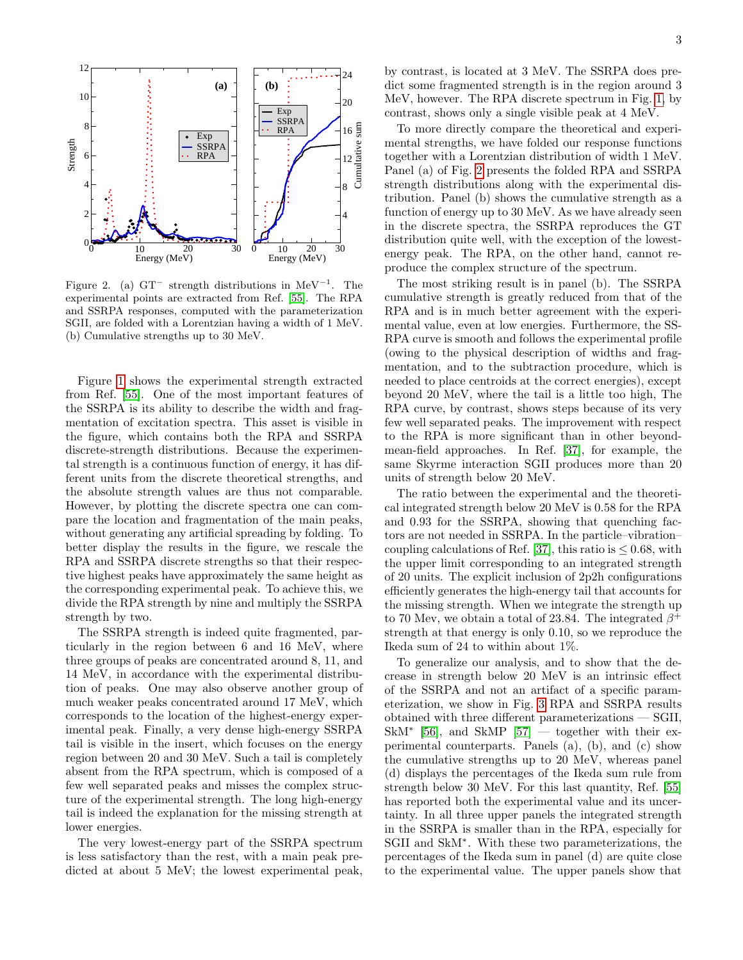

<span id="page-2-0"></span>Figure 2. (a)  $GT^-$  strength distributions in MeV<sup>-1</sup>. The experimental points are extracted from Ref. [\[55\]](#page-5-5). The RPA and SSRPA responses, computed with the parameterization SGII, are folded with a Lorentzian having a width of 1 MeV. (b) Cumulative strengths up to 30 MeV.

Figure [1](#page-1-0) shows the experimental strength extracted from Ref. [\[55\]](#page-5-5). One of the most important features of the SSRPA is its ability to describe the width and fragmentation of excitation spectra. This asset is visible in the figure, which contains both the RPA and SSRPA discrete-strength distributions. Because the experimental strength is a continuous function of energy, it has different units from the discrete theoretical strengths, and the absolute strength values are thus not comparable. However, by plotting the discrete spectra one can compare the location and fragmentation of the main peaks, without generating any artificial spreading by folding. To better display the results in the figure, we rescale the RPA and SSRPA discrete strengths so that their respective highest peaks have approximately the same height as the corresponding experimental peak. To achieve this, we divide the RPA strength by nine and multiply the SSRPA strength by two.

The SSRPA strength is indeed quite fragmented, particularly in the region between 6 and 16 MeV, where three groups of peaks are concentrated around 8, 11, and 14 MeV, in accordance with the experimental distribution of peaks. One may also observe another group of much weaker peaks concentrated around 17 MeV, which corresponds to the location of the highest-energy experimental peak. Finally, a very dense high-energy SSRPA tail is visible in the insert, which focuses on the energy region between 20 and 30 MeV. Such a tail is completely absent from the RPA spectrum, which is composed of a few well separated peaks and misses the complex structure of the experimental strength. The long high-energy tail is indeed the explanation for the missing strength at lower energies.

The very lowest-energy part of the SSRPA spectrum is less satisfactory than the rest, with a main peak predicted at about 5 MeV; the lowest experimental peak, by contrast, is located at 3 MeV. The SSRPA does predict some fragmented strength is in the region around 3 MeV, however. The RPA discrete spectrum in Fig. [1,](#page-1-0) by contrast, shows only a single visible peak at 4 MeV.

To more directly compare the theoretical and experimental strengths, we have folded our response functions together with a Lorentzian distribution of width 1 MeV. Panel (a) of Fig. [2](#page-2-0) presents the folded RPA and SSRPA strength distributions along with the experimental distribution. Panel (b) shows the cumulative strength as a function of energy up to 30 MeV. As we have already seen in the discrete spectra, the SSRPA reproduces the GT distribution quite well, with the exception of the lowestenergy peak. The RPA, on the other hand, cannot reproduce the complex structure of the spectrum.

The most striking result is in panel (b). The SSRPA cumulative strength is greatly reduced from that of the RPA and is in much better agreement with the experimental value, even at low energies. Furthermore, the SS-RPA curve is smooth and follows the experimental profile (owing to the physical description of widths and fragmentation, and to the subtraction procedure, which is needed to place centroids at the correct energies), except beyond 20 MeV, where the tail is a little too high, The RPA curve, by contrast, shows steps because of its very few well separated peaks. The improvement with respect to the RPA is more significant than in other beyondmean-field approaches. In Ref. [\[37\]](#page-4-23), for example, the same Skyrme interaction SGII produces more than 20 units of strength below 20 MeV.

The ratio between the experimental and the theoretical integrated strength below 20 MeV is 0.58 for the RPA and 0.93 for the SSRPA, showing that quenching factors are not needed in SSRPA. In the particle–vibration– coupling calculations of Ref. [\[37\]](#page-4-23), this ratio is  $\leq 0.68$ , with the upper limit corresponding to an integrated strength of 20 units. The explicit inclusion of 2p2h configurations efficiently generates the high-energy tail that accounts for the missing strength. When we integrate the strength up to 70 Mev, we obtain a total of 23.84. The integrated  $\beta^+$ strength at that energy is only 0.10, so we reproduce the Ikeda sum of 24 to within about 1%.

To generalize our analysis, and to show that the decrease in strength below 20 MeV is an intrinsic effect of the SSRPA and not an artifact of a specific parameterization, we show in Fig. [3](#page-3-0) RPA and SSRPA results obtained with three different parameterizations — SGII, SkM<sup>\*</sup> [\[56\]](#page-5-6), and SkMP [\[57\]](#page-5-7) — together with their experimental counterparts. Panels (a), (b), and (c) show the cumulative strengths up to 20 MeV, whereas panel (d) displays the percentages of the Ikeda sum rule from strength below 30 MeV. For this last quantity, Ref. [\[55\]](#page-5-5) has reported both the experimental value and its uncertainty. In all three upper panels the integrated strength in the SSRPA is smaller than in the RPA, especially for SGII and SkM<sup>∗</sup> . With these two parameterizations, the percentages of the Ikeda sum in panel (d) are quite close to the experimental value. The upper panels show that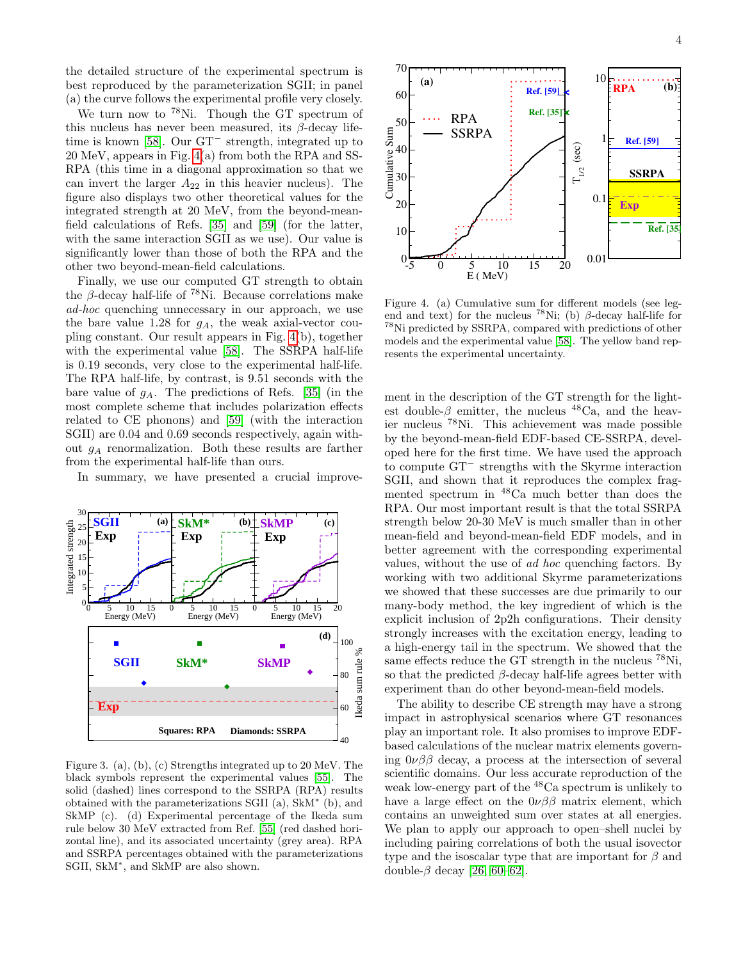the detailed structure of the experimental spectrum is best reproduced by the parameterization SGII; in panel (a) the curve follows the experimental profile very closely.

We turn now to <sup>78</sup>Ni. Though the GT spectrum of this nucleus has never been measured, its  $\beta$ -decay lifetime is known [\[58\]](#page-5-8). Our GT<sup>−</sup> strength, integrated up to 20 MeV, appears in Fig. [4\(](#page-3-1)a) from both the RPA and SS-RPA (this time in a diagonal approximation so that we can invert the larger  $A_{22}$  in this heavier nucleus). The figure also displays two other theoretical values for the integrated strength at 20 MeV, from the beyond-meanfield calculations of Refs. [\[35\]](#page-4-21) and [\[59\]](#page-5-9) (for the latter, with the same interaction SGII as we use). Our value is significantly lower than those of both the RPA and the other two beyond-mean-field calculations.

Finally, we use our computed GT strength to obtain the  $\beta$ -decay half-life of <sup>78</sup>Ni. Because correlations make ad-hoc quenching unnecessary in our approach, we use the bare value 1.28 for  $g_A$ , the weak axial-vector coupling constant. Our result appears in Fig. [4\(](#page-3-1)b), together with the experimental value [\[58\]](#page-5-8). The SSRPA half-life is 0.19 seconds, very close to the experimental half-life. The RPA half-life, by contrast, is 9.51 seconds with the bare value of  $g_A$ . The predictions of Refs. [\[35\]](#page-4-21) (in the most complete scheme that includes polarization effects related to CE phonons) and [\[59\]](#page-5-9) (with the interaction SGII) are 0.04 and 0.69 seconds respectively, again without  $g_A$  renormalization. Both these results are farther from the experimental half-life than ours.

In summary, we have presented a crucial improve-



<span id="page-3-0"></span>Figure 3. (a), (b), (c) Strengths integrated up to 20 MeV. The black symbols represent the experimental values [\[55\]](#page-5-5). The solid (dashed) lines correspond to the SSRPA (RPA) results obtained with the parameterizations SGII (a), SkM<sup>∗</sup> (b), and SkMP (c). (d) Experimental percentage of the Ikeda sum rule below 30 MeV extracted from Ref. [\[55\]](#page-5-5) (red dashed horizontal line), and its associated uncertainty (grey area). RPA and SSRPA percentages obtained with the parameterizations SGII, SkM<sup>\*</sup>, and SkMP are also shown.



<span id="page-3-1"></span>Figure 4. (a) Cumulative sum for different models (see legend and text) for the nucleus  $^{78}$ Ni; (b)  $\beta$ -decay half-life for <sup>78</sup>Ni predicted by SSRPA, compared with predictions of other models and the experimental value [\[58\]](#page-5-8). The yellow band represents the experimental uncertainty.

ment in the description of the GT strength for the lightest double- $\beta$  emitter, the nucleus <sup>48</sup>Ca, and the heavier nucleus <sup>78</sup>Ni. This achievement was made possible by the beyond-mean-field EDF-based CE-SSRPA, developed here for the first time. We have used the approach to compute GT<sup>−</sup> strengths with the Skyrme interaction SGII, and shown that it reproduces the complex fragmented spectrum in <sup>48</sup>Ca much better than does the RPA. Our most important result is that the total SSRPA strength below 20-30 MeV is much smaller than in other mean-field and beyond-mean-field EDF models, and in better agreement with the corresponding experimental values, without the use of ad hoc quenching factors. By working with two additional Skyrme parameterizations we showed that these successes are due primarily to our many-body method, the key ingredient of which is the explicit inclusion of 2p2h configurations. Their density strongly increases with the excitation energy, leading to a high-energy tail in the spectrum. We showed that the same effects reduce the GT strength in the nucleus <sup>78</sup>Ni, so that the predicted  $\beta$ -decay half-life agrees better with experiment than do other beyond-mean-field models.

The ability to describe CE strength may have a strong impact in astrophysical scenarios where GT resonances play an important role. It also promises to improve EDFbased calculations of the nuclear matrix elements governing  $0\nu\beta\beta$  decay, a process at the intersection of several scientific domains. Our less accurate reproduction of the weak low-energy part of the <sup>48</sup>Ca spectrum is unlikely to have a large effect on the  $0\nu\beta\beta$  matrix element, which contains an unweighted sum over states at all energies. We plan to apply our approach to open–shell nuclei by including pairing correlations of both the usual isovector type and the isoscalar type that are important for  $\beta$  and double- $\beta$  decay [\[26,](#page-4-13) [60](#page-5-10)[–62\]](#page-5-11).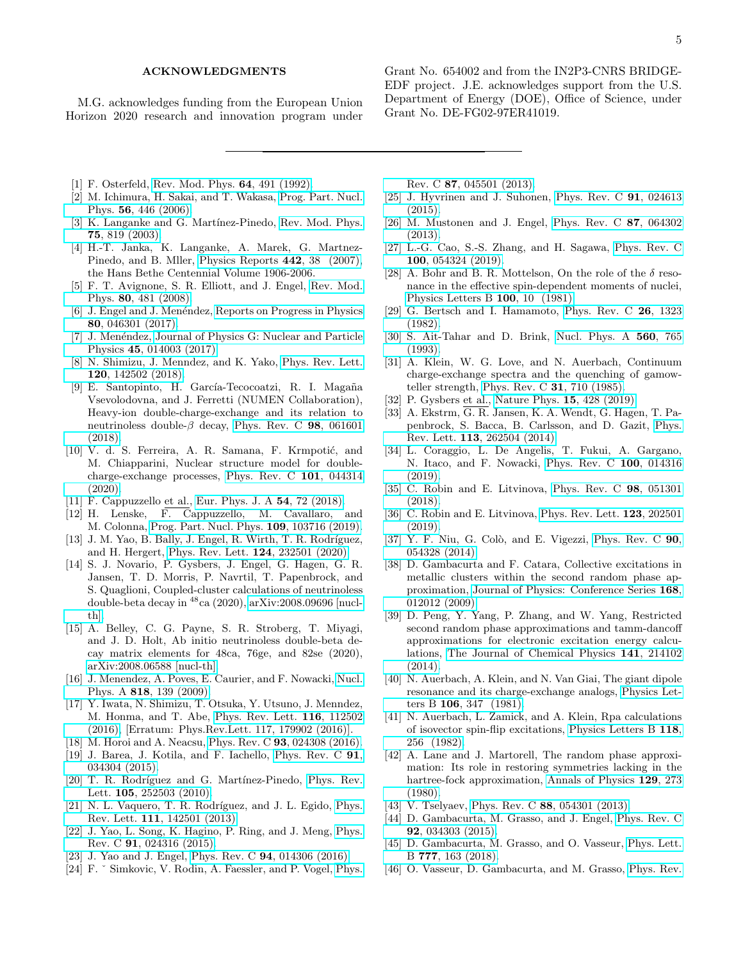## ACKNOWLEDGMENTS

M.G. acknowledges funding from the European Union Horizon 2020 research and innovation program under

Grant No. 654002 and from the IN2P3-CNRS BRIDGE-EDF project. J.E. acknowledges support from the U.S. Department of Energy (DOE), Office of Science, under Grant No. DE-FG02-97ER41019.

- <span id="page-4-0"></span>[1] F. Osterfeld, [Rev. Mod. Phys.](https://doi.org/10.1103/RevModPhys.64.491) 64, 491 (1992).
- <span id="page-4-1"></span>[2] M. Ichimura, H. Sakai, and T. Wakasa, [Prog. Part. Nucl.](https://doi.org/10.1016/j.ppnp.2005.09.001) Phys. 56[, 446 \(2006\).](https://doi.org/10.1016/j.ppnp.2005.09.001)
- <span id="page-4-2"></span>[3] K. Langanke and G. Martínez-Pinedo, [Rev. Mod. Phys.](https://doi.org/10.1103/RevModPhys.75.819) 75[, 819 \(2003\).](https://doi.org/10.1103/RevModPhys.75.819)
- <span id="page-4-3"></span>[4] H.-T. Janka, K. Langanke, A. Marek, G. Martnez-Pinedo, and B. Mller, [Physics Reports](https://doi.org/https://doi.org/10.1016/j.physrep.2007.02.002) 442, 38 (2007), the Hans Bethe Centennial Volume 1906-2006.
- <span id="page-4-4"></span>[5] F. T. Avignone, S. R. Elliott, and J. Engel, [Rev. Mod.](https://doi.org/10.1103/RevModPhys.80.481) Phys. 80[, 481 \(2008\).](https://doi.org/10.1103/RevModPhys.80.481)
- [6] J. Engel and J. Menéndez, [Reports on Progress in Physics](https://doi.org/10.1088/1361-6633/aa5bc5) 80[, 046301 \(2017\).](https://doi.org/10.1088/1361-6633/aa5bc5)
- <span id="page-4-5"></span>[7] J. Menéndez, [Journal of Physics G: Nuclear and Particle](https://doi.org/10.1088/1361-6471/aa9bd4) Physics 45[, 014003 \(2017\).](https://doi.org/10.1088/1361-6471/aa9bd4)
- <span id="page-4-6"></span>[8] N. Shimizu, J. Menndez, and K. Yako, [Phys. Rev. Lett.](https://doi.org/10.1103/PhysRevLett.120.142502) 120[, 142502 \(2018\).](https://doi.org/10.1103/PhysRevLett.120.142502)
- [9] E. Santopinto, H. García-Tecocoatzi, R. I. Magaña Vsevolodovna, and J. Ferretti (NUMEN Collaboration), Heavy-ion double-charge-exchange and its relation to neutrinoless double- $\beta$  decay, [Phys. Rev. C](https://doi.org/10.1103/PhysRevC.98.061601) 98, 061601 [\(2018\).](https://doi.org/10.1103/PhysRevC.98.061601)
- <span id="page-4-7"></span>[10] V. d. S. Ferreira, A. R. Samana, F. Krmpotić, and M. Chiapparini, Nuclear structure model for doublecharge-exchange processes, [Phys. Rev. C](https://doi.org/10.1103/PhysRevC.101.044314) 101, 044314 [\(2020\).](https://doi.org/10.1103/PhysRevC.101.044314)
- <span id="page-4-8"></span>[11] F. Cappuzzello et al., [Eur. Phys. J. A](https://doi.org/10.1140/epja/i2018-12509-3) 54, 72 (2018).
- <span id="page-4-9"></span>[12] H. Lenske, F. Cappuzzello, M. Cavallaro, and M. Colonna, [Prog. Part. Nucl. Phys.](https://doi.org/10.1016/j.ppnp.2019.103716) 109, 103716 (2019).
- <span id="page-4-10"></span>[13] J. M. Yao, B. Bally, J. Engel, R. Wirth, T. R. Rodríguez, and H. Hergert, [Phys. Rev. Lett.](https://doi.org/10.1103/PhysRevLett.124.232501) 124, 232501 (2020).
- [14] S. J. Novario, P. Gysbers, J. Engel, G. Hagen, G. R. Jansen, T. D. Morris, P. Navrtil, T. Papenbrock, and S. Quaglioni, Coupled-cluster calculations of neutrinoless double-beta decay in  $48c$ a (2020), [arXiv:2008.09696 \[nucl](https://arxiv.org/abs/2008.09696)[th\].](https://arxiv.org/abs/2008.09696)
- <span id="page-4-11"></span>[15] A. Belley, C. G. Payne, S. R. Stroberg, T. Miyagi, and J. D. Holt, Ab initio neutrinoless double-beta decay matrix elements for 48ca, 76ge, and 82se (2020), [arXiv:2008.06588 \[nucl-th\].](https://arxiv.org/abs/2008.06588)
- <span id="page-4-12"></span>[16] J. Menendez, A. Poves, E. Caurier, and F. Nowacki, [Nucl.](https://doi.org/10.1016/j.nuclphysa.2008.12.005) Phys. A 818[, 139 \(2009\).](https://doi.org/10.1016/j.nuclphysa.2008.12.005)
- [17] Y. Iwata, N. Shimizu, T. Otsuka, Y. Utsuno, J. Menndez, M. Honma, and T. Abe, [Phys. Rev. Lett.](https://doi.org/10.1103/PhysRevLett.117.179902) 116, 112502 [\(2016\),](https://doi.org/10.1103/PhysRevLett.117.179902) [Erratum: Phys.Rev.Lett. 117, 179902 (2016)].
- [18] M. Horoi and A. Neacsu, Phys. Rev. C 93[, 024308 \(2016\).](https://doi.org/10.1103/PhysRevC.93.024308)
- [19] J. Barea, J. Kotila, and F. Iachello, [Phys. Rev. C](https://doi.org/10.1103/PhysRevC.91.034304) 91, [034304 \(2015\).](https://doi.org/10.1103/PhysRevC.91.034304)
- [20] T. R. Rodríguez and G. Martínez-Pinedo, [Phys. Rev.](https://doi.org/10.1103/PhysRevLett.105.252503) Lett. 105[, 252503 \(2010\).](https://doi.org/10.1103/PhysRevLett.105.252503)
- [21] N. L. Vaquero, T. R. Rodríguez, and J. L. Egido, [Phys.](https://doi.org/10.1103/PhysRevLett.111.142501) Rev. Lett. 111[, 142501 \(2013\).](https://doi.org/10.1103/PhysRevLett.111.142501)
- [22] J. Yao, L. Song, K. Hagino, P. Ring, and J. Meng, [Phys.](https://doi.org/10.1103/PhysRevC.91.024316) Rev. C 91[, 024316 \(2015\).](https://doi.org/10.1103/PhysRevC.91.024316)
- [23] J. Yao and J. Engel, Phys. Rev. C **94**[, 014306 \(2016\).](https://doi.org/10.1103/PhysRevC.94.014306)
- [24] F.  $\check{\,}$  Simkovic, V. Rodin, A. Faessler, and P. Vogel, [Phys.](https://doi.org/10.1103/PhysRevC.87.045501)

Rev. C 87[, 045501 \(2013\).](https://doi.org/10.1103/PhysRevC.87.045501)

- [25] J. Hyvrinen and J. Suhonen, [Phys. Rev. C](https://doi.org/10.1103/PhysRevC.91.024613) 91, 024613 [\(2015\).](https://doi.org/10.1103/PhysRevC.91.024613)
- <span id="page-4-13"></span>[26] M. Mustonen and J. Engel, [Phys. Rev. C](https://doi.org/10.1103/PhysRevC.87.064302) 87, 064302 [\(2013\).](https://doi.org/10.1103/PhysRevC.87.064302)
- <span id="page-4-14"></span>[27] L.-G. Cao, S.-S. Zhang, and H. Sagawa, [Phys. Rev. C](https://doi.org/10.1103/PhysRevC.100.054324) 100[, 054324 \(2019\).](https://doi.org/10.1103/PhysRevC.100.054324)
- <span id="page-4-15"></span>[28] A. Bohr and B. R. Mottelson, On the role of the  $\delta$  resonance in the effective spin-dependent moments of nuclei, [Physics Letters B](https://doi.org/https://doi.org/10.1016/0370-2693(81)90274-4) 100, 10 (1981).
- <span id="page-4-16"></span>[29] G. Bertsch and I. Hamamoto, [Phys. Rev. C](https://doi.org/10.1103/PhysRevC.26.1323) 26, 1323 [\(1982\).](https://doi.org/10.1103/PhysRevC.26.1323)
- <span id="page-4-28"></span>[30] S. Ait-Tahar and D. Brink, [Nucl. Phys. A](https://doi.org/10.1016/0375-9474(93)90170-3) 560, 765 [\(1993\).](https://doi.org/10.1016/0375-9474(93)90170-3)
- <span id="page-4-17"></span>[31] A. Klein, W. G. Love, and N. Auerbach, Continuum charge-exchange spectra and the quenching of gamowteller strength, [Phys. Rev. C](https://doi.org/10.1103/PhysRevC.31.710) 31, 710 (1985).
- <span id="page-4-18"></span>[32] P. Gysbers et al., [Nature Phys.](https://doi.org/10.1038/s41567-019-0450-7) **15**, 428 (2019).
- <span id="page-4-19"></span>[33] A. Ekstrm, G. R. Jansen, K. A. Wendt, G. Hagen, T. Papenbrock, S. Bacca, B. Carlsson, and D. Gazit, [Phys.](https://doi.org/10.1103/PhysRevLett.113.262504) Rev. Lett. 113[, 262504 \(2014\).](https://doi.org/10.1103/PhysRevLett.113.262504)
- <span id="page-4-20"></span>[34] L. Coraggio, L. De Angelis, T. Fukui, A. Gargano, N. Itaco, and F. Nowacki, [Phys. Rev. C](https://doi.org/10.1103/PhysRevC.100.014316) 100, 014316 [\(2019\).](https://doi.org/10.1103/PhysRevC.100.014316)
- <span id="page-4-21"></span>[35] C. Robin and E. Litvinova, [Phys. Rev. C](https://doi.org/10.1103/PhysRevC.98.051301) 98, 051301 [\(2018\).](https://doi.org/10.1103/PhysRevC.98.051301)
- <span id="page-4-22"></span>[36] C. Robin and E. Litvinova, [Phys. Rev. Lett.](https://doi.org/10.1103/PhysRevLett.123.202501) 123, 202501 [\(2019\).](https://doi.org/10.1103/PhysRevLett.123.202501)
- <span id="page-4-23"></span>[37] Y. F. Niu, G. Colò, and E. Vigezzi, [Phys. Rev. C](https://doi.org/10.1103/PhysRevC.90.054328)  $90$ , [054328 \(2014\).](https://doi.org/10.1103/PhysRevC.90.054328)
- <span id="page-4-24"></span>[38] D. Gambacurta and F. Catara, Collective excitations in metallic clusters within the second random phase approximation, [Journal of Physics: Conference Series](https://doi.org/10.1088/1742-6596/168/1/012012) 168, [012012 \(2009\).](https://doi.org/10.1088/1742-6596/168/1/012012)
- <span id="page-4-25"></span>[39] D. Peng, Y. Yang, P. Zhang, and W. Yang, Restricted second random phase approximations and tamm-dancoff approximations for electronic excitation energy calculations, [The Journal of Chemical Physics](https://doi.org/10.1063/1.4901716) 141, 214102 [\(2014\).](https://doi.org/10.1063/1.4901716)
- <span id="page-4-26"></span>[40] N. Auerbach, A. Klein, and N. Van Giai, The giant dipole resonance and its charge-exchange analogs, [Physics Let](https://doi.org/https://doi.org/10.1016/0370-2693(81)90639-0)ters B 106[, 347 \(1981\).](https://doi.org/https://doi.org/10.1016/0370-2693(81)90639-0)
- [41] N. Auerbach, L. Zamick, and A. Klein, Rpa calculations of isovector spin-flip excitations, [Physics Letters B](https://doi.org/https://doi.org/10.1016/0370-2693(82)90179-4) 118, [256 \(1982\).](https://doi.org/https://doi.org/10.1016/0370-2693(82)90179-4)
- <span id="page-4-27"></span>[42] A. Lane and J. Martorell, The random phase approximation: Its role in restoring symmetries lacking in the hartree-fock approximation, [Annals of Physics](https://doi.org/https://doi.org/10.1016/0003-4916(80)90389-9) 129, 273 [\(1980\).](https://doi.org/https://doi.org/10.1016/0003-4916(80)90389-9)
- <span id="page-4-29"></span>[43] V. Tselyaev, Phys. Rev. C 88[, 054301 \(2013\).](https://doi.org/10.1103/PhysRevC.88.054301)
- <span id="page-4-30"></span>[44] D. Gambacurta, M. Grasso, and J. Engel, [Phys. Rev. C](https://doi.org/10.1103/PhysRevC.92.034303) 92[, 034303 \(2015\).](https://doi.org/10.1103/PhysRevC.92.034303)
- [45] D. Gambacurta, M. Grasso, and O. Vasseur, [Phys. Lett.](https://doi.org/10.1016/j.physletb.2017.12.026) B 777[, 163 \(2018\).](https://doi.org/10.1016/j.physletb.2017.12.026)
- [46] O. Vasseur, D. Gambacurta, and M. Grasso, [Phys. Rev.](https://doi.org/10.1103/PhysRevC.98.044313)